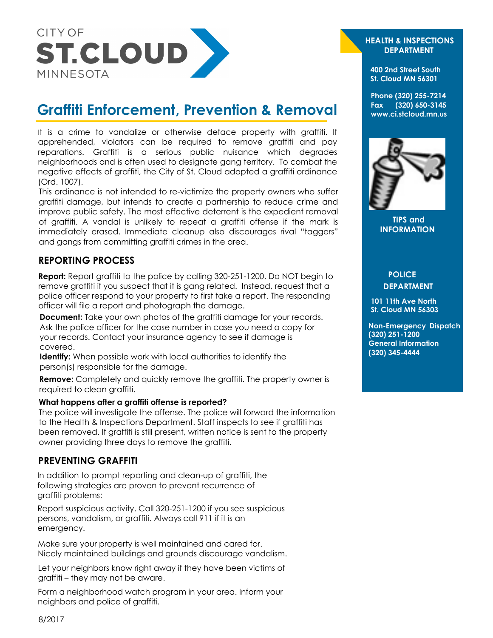

# **Graffiti Enforcement, Prevention & Removal**

It is a crime to vandalize or otherwise deface property with graffiti. If apprehended, violators can be required to remove graffiti and pay reparations. Graffiti is a serious public nuisance which degrades neighborhoods and is often used to designate gang territory. To combat the negative effects of graffiti, the City of St. Cloud adopted a graffiti ordinance (Ord. 1007).

This ordinance is not intended to re-victimize the property owners who suffer graffiti damage, but intends to create a partnership to reduce crime and improve public safety. The most effective deterrent is the expedient removal of graffiti. A vandal is unlikely to repeat a graffiti offense if the mark is immediately erased. Immediate cleanup also discourages rival "taggers" and gangs from committing graffiti crimes in the area.

# **REPORTING PROCESS**

**Report:** Report graffiti to the police by calling 320-251-1200. Do NOT begin to remove graffiti if you suspect that it is gang related. Instead, request that a police officer respond to your property to first take a report. The responding officer will file a report and photograph the damage.

**Document:** Take your own photos of the graffiti damage for your records. Ask the police officer for the case number in case you need a copy for your records. Contact your insurance agency to see if damage is covered.

**Identify:** When possible work with local authorities to identify the person(s) responsible for the damage.

**Remove:** Completely and quickly remove the graffiti. The property owner is required to clean graffiti.

#### **What happens after a graffiti offense is reported?**

The police will investigate the offense. The police will forward the information to the Health & Inspections Department. Staff inspects to see if graffiti has been removed. If graffiti is still present, written notice is sent to the property owner providing three [days to remove the graffiti.](http://ci.stcloud.mn.us/DocumentCenter/View/369) 

### **PREVENTING GRAFFITI**

In addition to prompt reporting and clean-up of graffiti, the following strategies are proven to prevent recurrence of graffiti problems:

Report suspicious activity. Call 320-251-1200 if you see suspicious persons, vandalism, or graffiti. Always call 911 if it is an emergency.

Make sure your property is well maintained and cared for. Nicely maintained buildings and grounds discourage vandalism.

Let your neighbors know right away if they have been victims of graffiti – they may not be aware.

Form a neighborhood watch program in your area. Inform your neighbors and police of graffiti.

#### **HEALTH & INSPECTIONS DEPARTMENT**

**400 2nd Street South St. Cloud MN 56301** 

**Phone (320) 255-7214 Fax (320) 650-3145 www.ci.stcloud.mn.us** 



**TIPS and INFORMATION**

## **POLICE DEPARTMENT**

**101 11th Ave North St. Cloud MN 56303**

**Non-Emergency Dispatch (320) 251-1200 General Information (320) 345-4444**